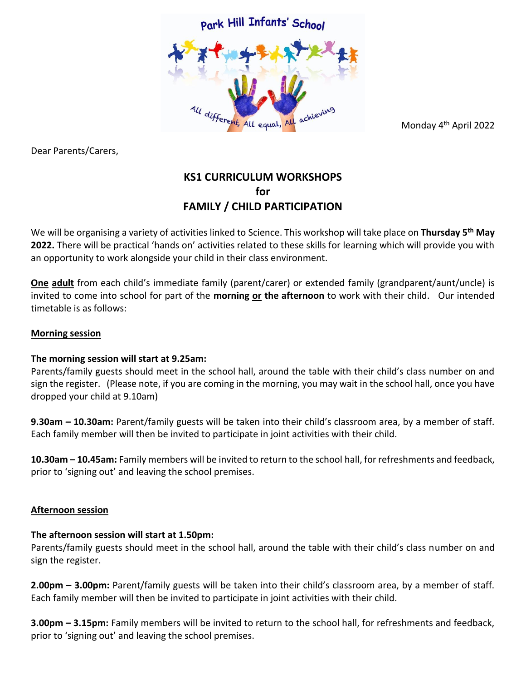

Dear Parents/Carers,

Monday 4th April 2022

# **KS1 CURRICULUM WORKSHOPS for FAMILY / CHILD PARTICIPATION**

We will be organising a variety of activities linked to Science. This workshop will take place on **Thursday 5 th May 2022.** There will be practical 'hands on' activities related to these skills for learning which will provide you with an opportunity to work alongside your child in their class environment.

**One adult** from each child's immediate family (parent/carer) or extended family (grandparent/aunt/uncle) is invited to come into school for part of the **morning or the afternoon** to work with their child. Our intended timetable is as follows:

### **Morning session**

### **The morning session will start at 9.25am:**

Parents/family guests should meet in the school hall, around the table with their child's class number on and sign the register. (Please note, if you are coming in the morning, you may wait in the school hall, once you have dropped your child at 9.10am)

**9.30am – 10.30am:** Parent/family guests will be taken into their child's classroom area, by a member of staff. Each family member will then be invited to participate in joint activities with their child.

**10.30am – 10.45am:** Family members will be invited to return to the school hall, for refreshments and feedback, prior to 'signing out' and leaving the school premises.

### **Afternoon session**

### **The afternoon session will start at 1.50pm:**

Parents/family guests should meet in the school hall, around the table with their child's class number on and sign the register.

**2.00pm – 3.00pm:** Parent/family guests will be taken into their child's classroom area, by a member of staff. Each family member will then be invited to participate in joint activities with their child.

**3.00pm – 3.15pm:** Family members will be invited to return to the school hall, for refreshments and feedback, prior to 'signing out' and leaving the school premises.